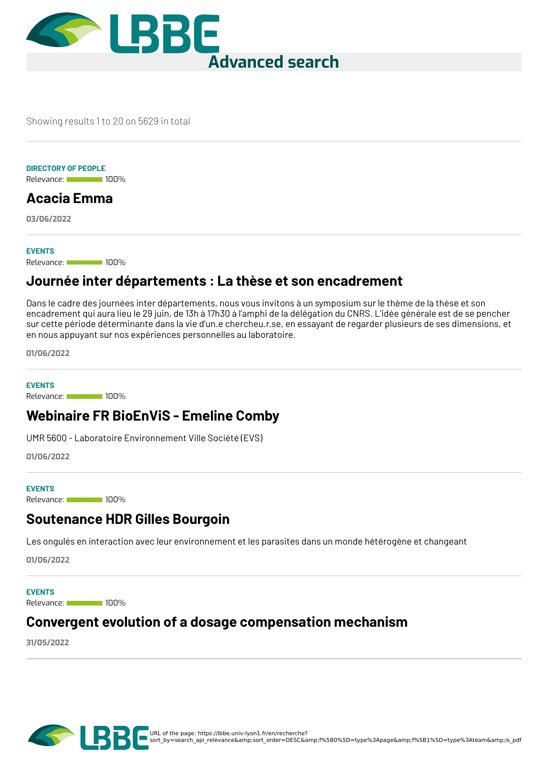

Showing results 1 to 20 on 5629 in total

#### **DIRECTORY OF PEOPLE**

Relevance: 100%

# **[Acacia](https://lbbe.univ-lyon1.fr/en/node/99198) Emma**

**03/06/2022**

#### **EVENTS**

Relevance: 100%

### **Journée inter [départements](https://lbbe.univ-lyon1.fr/en/node/98933) : La thèse et son encadrement**

Dans le cadre des journées inter départements, nous vous invitons à un symposium sur le thème de la thèse et son encadrement qui aura lieu le 29 juin, de 13h à 17h30 à l'amphi de la délégation du CNRS. L'idée générale est de se pencher sur cette période déterminante dans la vie d'un.e chercheu.r.se, en essayant de regarder plusieurs de ses dimensions, et en nous appuyant sur nos expériences personnelles au laboratoire.

**01/06/2022**

Relevance: 100% **EVENTS**

## **[Webinaire](https://lbbe.univ-lyon1.fr/en/node/98932) FR BioEnViS - Emeline Comby**

UMR 5600 - Laboratoire Environnement Ville Société (EVS)

**01/06/2022**

#### **EVENTS**

Relevance: 100%

### **[Soutenance](https://lbbe.univ-lyon1.fr/en/node/98931) HDR Gilles Bourgoin**

Les ongulés en interaction avec leur environnement et les parasites dans un monde hétérogène et changeant

**01/06/2022**

Relevance: 100% **EVENTS**

### **Convergent evolution of a dosage [compensation](https://lbbe.univ-lyon1.fr/en/node/98804) mechanism**

**31/05/2022**

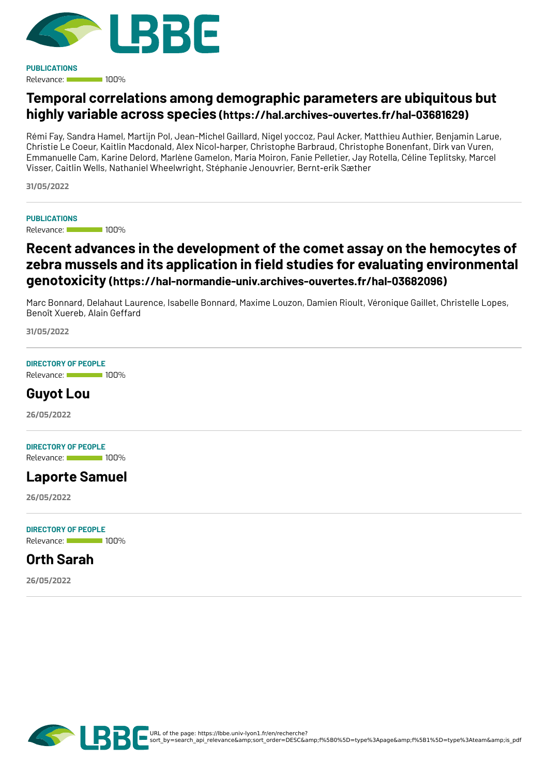

Relevance: 100% **PUBLICATIONS**

# **Temporal correlations among demographic parameters are ubiquitous but highly variable across species [\(https://hal.archives-ouvertes.fr/hal-03681629\)](https://hal.archives-ouvertes.fr/hal-03681629)**

Rémi Fay, Sandra Hamel, Martijn Pol, Jean-Michel Gaillard, Nigel yoccoz, Paul Acker, Matthieu Authier, Benjamin Larue, Christie Le Coeur, Kaitlin Macdonald, Alex Nicol‐harper, Christophe Barbraud, Christophe Bonenfant, Dirk van Vuren, Emmanuelle Cam, Karine Delord, Marlène Gamelon, Maria Moiron, Fanie Pelletier, Jay Rotella, Céline Teplitsky, Marcel Visser, Caitlin Wells, Nathaniel Wheelwright, Stéphanie Jenouvrier, Bernt‐erik Sæther

**31/05/2022**

#### **PUBLICATIONS**

Relevance: 100%

## **Recent advances in the development of the comet assay on the hemocytes of zebra mussels and its application in <eld studies for evaluating environmental genotoxicity [\(https://hal-normandie-univ.archives-ouvertes.fr/hal-03682096\)](https://hal-normandie-univ.archives-ouvertes.fr/hal-03682096)**

Marc Bonnard, Delahaut Laurence, Isabelle Bonnard, Maxime Louzon, Damien Rioult, Véronique Gaillet, Christelle Lopes, Benoît Xuereb, Alain Geffard

**31/05/2022**

#### **DIRECTORY OF PEOPLE**

Relevance: 100%

### **[Guyot](https://lbbe.univ-lyon1.fr/en/node/98039) Lou**

**26/05/2022**

#### **DIRECTORY OF PEOPLE**

Relevance: 100%

### **[Laporte](https://lbbe.univ-lyon1.fr/en/node/98038) Samuel**

**26/05/2022**

#### **DIRECTORY OF PEOPLE**

Relevance: 100%

#### **Orth [Sarah](https://lbbe.univ-lyon1.fr/en/node/98037)**

**26/05/2022**

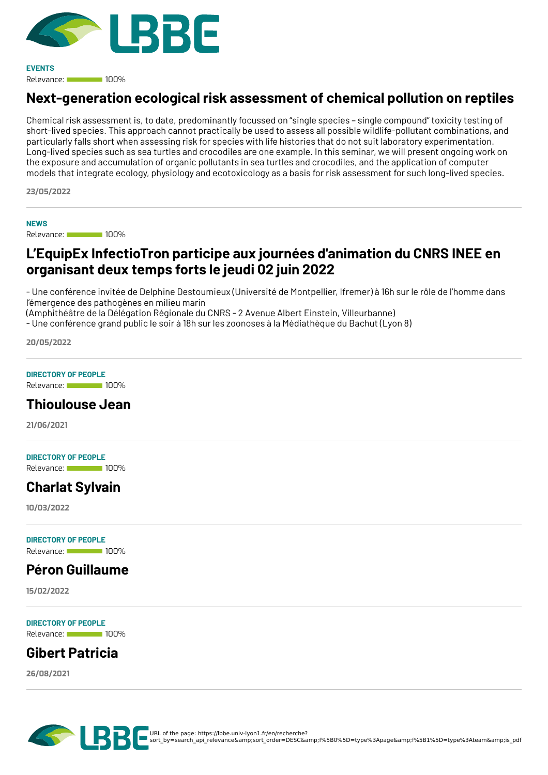

Relevance: 100% **EVENTS**

# **[Next-generation](https://lbbe.univ-lyon1.fr/en/node/97644) ecological risk assessment of chemical pollution on reptiles**

Chemical risk assessment is, to date, predominantly focussed on "single species – single compound" toxicity testing of short-lived species. This approach cannot practically be used to assess all possible wildlife-pollutant combinations, and particularly falls short when assessing risk for species with life histories that do not suit laboratory experimentation. Long-lived species such as sea turtles and crocodiles are one example. In this seminar, we will present ongoing work on the exposure and accumulation of organic pollutants in sea turtles and crocodiles, and the application of computer models that integrate ecology, physiology and ecotoxicology as a basis for risk assessment for such long-lived species.

**23/05/2022**

**NEWS**

Relevance: 100%

## **L'EquipEx [InfectioTron](https://lbbe.univ-lyon1.fr/en/node/97223) participe aux journées d'animation du CNRS INEE en organisant deux temps forts le jeudi 02 juin 2022**

- Une conférence invitée de Delphine Destoumieux (Université de Montpellier, Ifremer) à 16h sur le rôle de l'homme dans l'émergence des pathogènes en milieu marin

(Amphithéâtre de la Délégation Régionale du CNRS - 2 Avenue Albert Einstein, Villeurbanne)

- Une conférence grand public le soir à 18h sur les zoonoses à la Médiathèque du Bachut (Lyon 8)

**20/05/2022**

#### **DIRECTORY OF PEOPLE**

Relevance: 100%

### **[Thioulouse](https://lbbe.univ-lyon1.fr/en/annuaires-des-membres/thioulouse-jean) Jean**

**21/06/2021**

#### **DIRECTORY OF PEOPLE**

Relevance: 100%

# **[Charlat](https://lbbe.univ-lyon1.fr/en/directory-of-people/charlat-sylvain) Sylvain**

**10/03/2022**

**DIRECTORY OF PEOPLE**

#### Relevance: 100%

### **Péron [Guillaume](https://lbbe.univ-lyon1.fr/en/annuaire-des-membres/peron-guillaume)**

**15/02/2022**

Relevance: 100% **DIRECTORY OF PEOPLE**

## **Gibert [Patricia](https://lbbe.univ-lyon1.fr/en/directory-of-people/gibert-patricia)**

**26/08/2021**

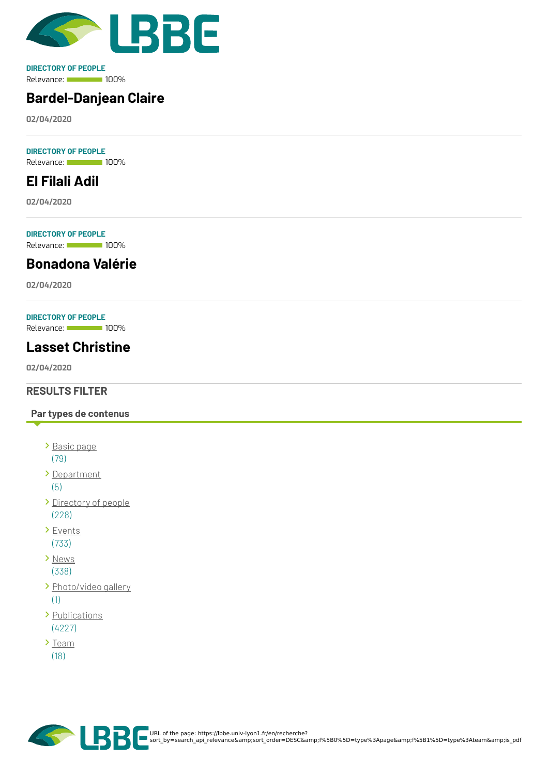

Relevance: 100% **DIRECTORY OF PEOPLE**

# **[Bardel-Danjean](https://lbbe.univ-lyon1.fr/en/node/5582) Claire**

**02/04/2020**

Relevance: 100% **DIRECTORY OF PEOPLE**

# **El [Filali](https://lbbe.univ-lyon1.fr/en/node/5581) Adil**

**02/04/2020**

Relevance: 100% **DIRECTORY OF PEOPLE**

**[Bonadona](https://lbbe.univ-lyon1.fr/en/node/5580) Valérie**

**02/04/2020**

#### **DIRECTORY OF PEOPLE**

Relevance: 100%

# **Lasset [Christine](https://lbbe.univ-lyon1.fr/en/node/5579)**

**02/04/2020**

#### **RESULTS FILTER**

#### **Par types de contenus**

- [Basic](https://lbbe.univ-lyon1.fr/en/recherche?sort_by=search_api_relevance&%253Bsort_order=DESC&%253Bf%255B0%255D=type%253Apage&%253Bf%255B1%255D=type%253Ateam&%253Bis_pdf=true&f%255B0%255D=type%253Apage) page (79)
- [Department](https://lbbe.univ-lyon1.fr/en/recherche?sort_by=search_api_relevance&%253Bsort_order=DESC&%253Bf%255B0%255D=type%253Apage&%253Bf%255B1%255D=type%253Ateam&%253Bis_pdf=true&f%255B0%255D=type%253Adepartment)

(5)

- [Directory](https://lbbe.univ-lyon1.fr/en/recherche?sort_by=search_api_relevance&%253Bsort_order=DESC&%253Bf%255B0%255D=type%253Apage&%253Bf%255B1%255D=type%253Ateam&%253Bis_pdf=true&f%255B0%255D=type%253Adirectorypeople) of people (228)
- > [Events](https://lbbe.univ-lyon1.fr/en/recherche?sort_by=search_api_relevance&%253Bsort_order=DESC&%253Bf%255B0%255D=type%253Apage&%253Bf%255B1%255D=type%253Ateam&%253Bis_pdf=true&f%255B0%255D=type%253Aevent) (733)
- > [News](https://lbbe.univ-lyon1.fr/en/recherche?sort_by=search_api_relevance&%253Bsort_order=DESC&%253Bf%255B0%255D=type%253Apage&%253Bf%255B1%255D=type%253Ateam&%253Bis_pdf=true&f%255B0%255D=type%253Anews) (338)
- > [Photo/video](https://lbbe.univ-lyon1.fr/en/recherche?sort_by=search_api_relevance&%253Bsort_order=DESC&%253Bf%255B0%255D=type%253Apage&%253Bf%255B1%255D=type%253Ateam&%253Bis_pdf=true&f%255B0%255D=type%253Agallery) gallery (1)
- > [Publications](https://lbbe.univ-lyon1.fr/en/recherche?sort_by=search_api_relevance&%253Bsort_order=DESC&%253Bf%255B0%255D=type%253Apage&%253Bf%255B1%255D=type%253Ateam&%253Bis_pdf=true&f%255B0%255D=type%253Apublications) (4227)
- $\sum_{i=1}^{n}$ (18)